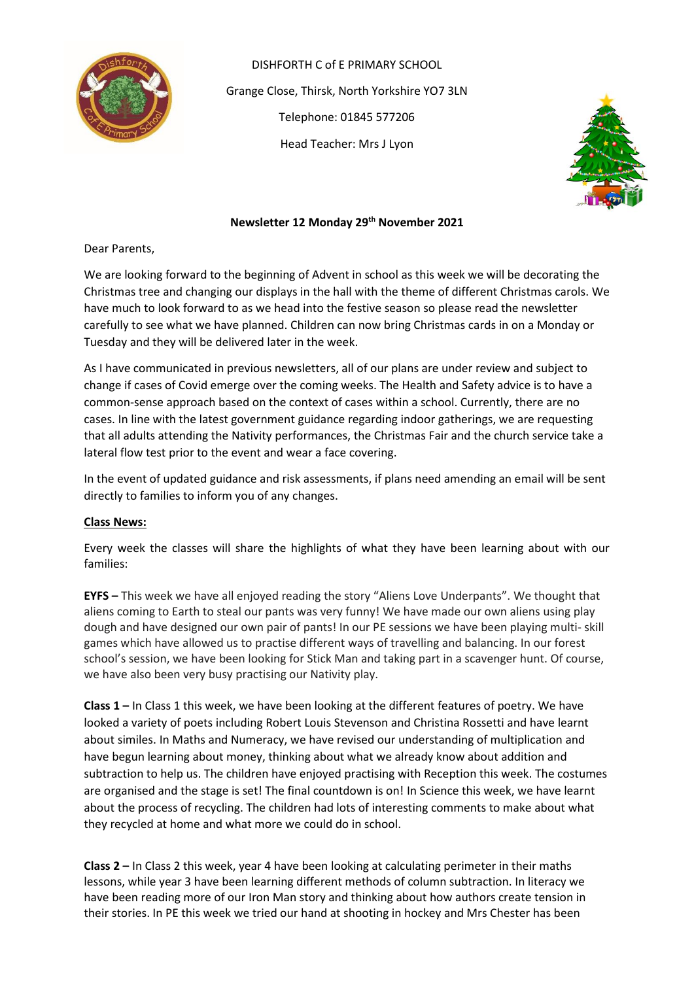

DISHFORTH C of E PRIMARY SCHOOL Grange Close, Thirsk, North Yorkshire YO7 3LN Telephone: 01845 577206 Head Teacher: Mrs J Lyon



# **Newsletter 12 Monday 29 th November 2021**

Dear Parents,

We are looking forward to the beginning of Advent in school as this week we will be decorating the Christmas tree and changing our displays in the hall with the theme of different Christmas carols. We have much to look forward to as we head into the festive season so please read the newsletter carefully to see what we have planned. Children can now bring Christmas cards in on a Monday or Tuesday and they will be delivered later in the week.

As I have communicated in previous newsletters, all of our plans are under review and subject to change if cases of Covid emerge over the coming weeks. The Health and Safety advice is to have a common-sense approach based on the context of cases within a school. Currently, there are no cases. In line with the latest government guidance regarding indoor gatherings, we are requesting that all adults attending the Nativity performances, the Christmas Fair and the church service take a lateral flow test prior to the event and wear a face covering.

In the event of updated guidance and risk assessments, if plans need amending an email will be sent directly to families to inform you of any changes.

# **Class News:**

Every week the classes will share the highlights of what they have been learning about with our families:

**EYFS –** This week we have all enjoyed reading the story "Aliens Love Underpants". We thought that aliens coming to Earth to steal our pants was very funny! We have made our own aliens using play dough and have designed our own pair of pants! In our PE sessions we have been playing multi- skill games which have allowed us to practise different ways of travelling and balancing. In our forest school's session, we have been looking for Stick Man and taking part in a scavenger hunt. Of course, we have also been very busy practising our Nativity play.

**Class 1 –** In Class 1 this week, we have been looking at the different features of poetry. We have looked a variety of poets including Robert Louis Stevenson and Christina Rossetti and have learnt about similes. In Maths and Numeracy, we have revised our understanding of multiplication and have begun learning about money, thinking about what we already know about addition and subtraction to help us. The children have enjoyed practising with Reception this week. The costumes are organised and the stage is set! The final countdown is on! In Science this week, we have learnt about the process of recycling. The children had lots of interesting comments to make about what they recycled at home and what more we could do in school.

**Class 2 –** In Class 2 this week, year 4 have been looking at calculating perimeter in their maths lessons, while year 3 have been learning different methods of column subtraction. In literacy we have been reading more of our Iron Man story and thinking about how authors create tension in their stories. In PE this week we tried our hand at shooting in hockey and Mrs Chester has been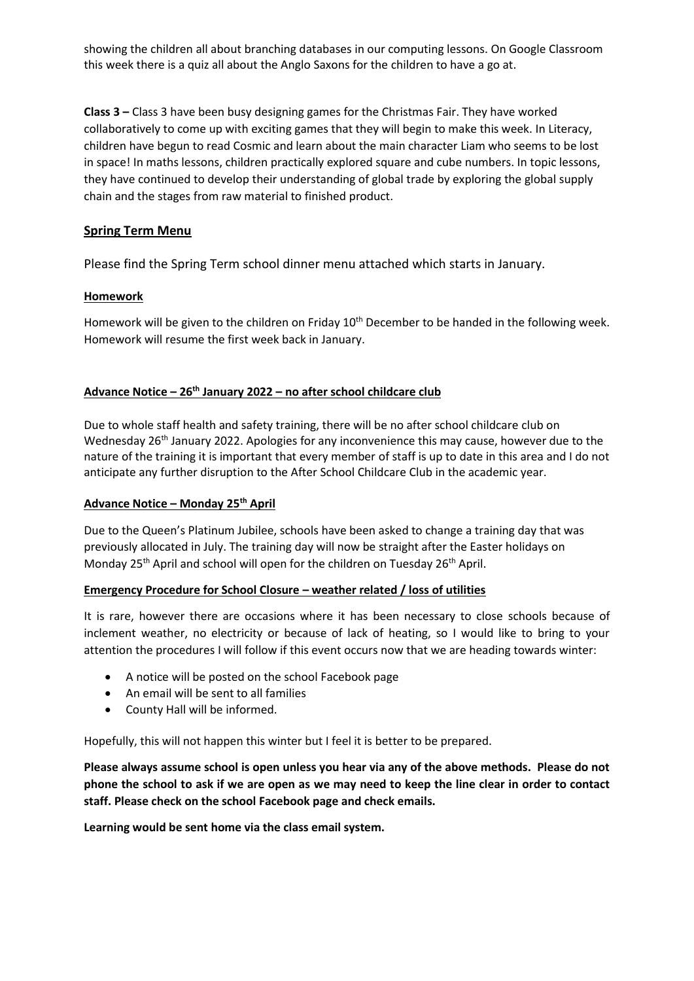showing the children all about branching databases in our computing lessons. On Google Classroom this week there is a quiz all about the Anglo Saxons for the children to have a go at.

**Class 3 –** Class 3 have been busy designing games for the Christmas Fair. They have worked collaboratively to come up with exciting games that they will begin to make this week. In Literacy, children have begun to read Cosmic and learn about the main character Liam who seems to be lost in space! In maths lessons, children practically explored square and cube numbers. In topic lessons, they have continued to develop their understanding of global trade by exploring the global supply chain and the stages from raw material to finished product.

# **Spring Term Menu**

Please find the Spring Term school dinner menu attached which starts in January.

# **Homework**

Homework will be given to the children on Friday  $10^{th}$  December to be handed in the following week. Homework will resume the first week back in January.

# **Advance Notice – 26th January 2022 – no after school childcare club**

Due to whole staff health and safety training, there will be no after school childcare club on Wednesday  $26<sup>th</sup>$  January 2022. Apologies for any inconvenience this may cause, however due to the nature of the training it is important that every member of staff is up to date in this area and I do not anticipate any further disruption to the After School Childcare Club in the academic year.

# **Advance Notice – Monday 25th April**

Due to the Queen's Platinum Jubilee, schools have been asked to change a training day that was previously allocated in July. The training day will now be straight after the Easter holidays on Monday 25<sup>th</sup> April and school will open for the children on Tuesday 26<sup>th</sup> April.

# **Emergency Procedure for School Closure – weather related / loss of utilities**

It is rare, however there are occasions where it has been necessary to close schools because of inclement weather, no electricity or because of lack of heating, so I would like to bring to your attention the procedures I will follow if this event occurs now that we are heading towards winter:

- A notice will be posted on the school Facebook page
- An email will be sent to all families
- County Hall will be informed.

Hopefully, this will not happen this winter but I feel it is better to be prepared.

**Please always assume school is open unless you hear via any of the above methods. Please do not phone the school to ask if we are open as we may need to keep the line clear in order to contact staff. Please check on the school Facebook page and check emails.** 

**Learning would be sent home via the class email system.**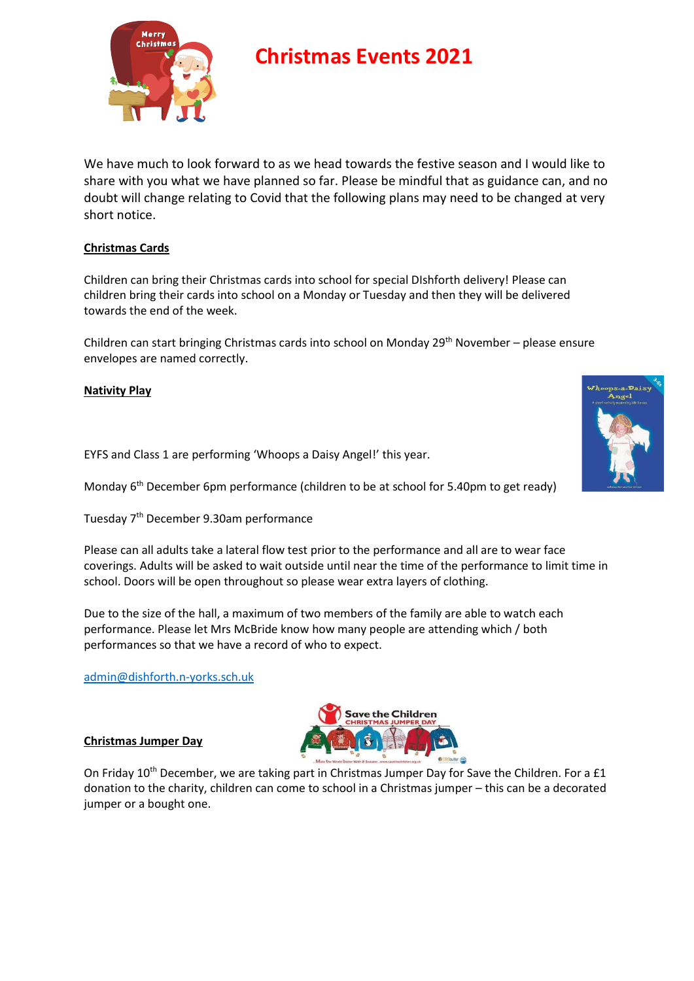

# **Christmas Events 2021**

We have much to look forward to as we head towards the festive season and I would like to share with you what we have planned so far. Please be mindful that as guidance can, and no doubt will change relating to Covid that the following plans may need to be changed at very short notice.

# **Christmas Cards**

Children can bring their Christmas cards into school for special DIshforth delivery! Please can children bring their cards into school on a Monday or Tuesday and then they will be delivered towards the end of the week.

Children can start bringing Christmas cards into school on Monday 29<sup>th</sup> November – please ensure envelopes are named correctly.

**Nativity Play**

EYFS and Class 1 are performing 'Whoops a Daisy Angel!' this year.

Monday 6<sup>th</sup> December 6pm performance (children to be at school for 5.40pm to get ready)

Tuesday 7th December 9.30am performance

Please can all adults take a lateral flow test prior to the performance and all are to wear face coverings. Adults will be asked to wait outside until near the time of the performance to limit time in school. Doors will be open throughout so please wear extra layers of clothing.

Due to the size of the hall, a maximum of two members of the family are able to watch each performance. Please let Mrs McBride know how many people are attending which / both performances so that we have a record of who to expect.

[admin@dishforth.n-yorks.sch.uk](mailto:admin@dishforth.n-yorks.sch.uk)

#### **Christmas Jumper Day**



On Friday 10<sup>th</sup> December, we are taking part in Christmas Jumper Day for Save the Children. For a £1 donation to the charity, children can come to school in a Christmas jumper – this can be a decorated jumper or a bought one.

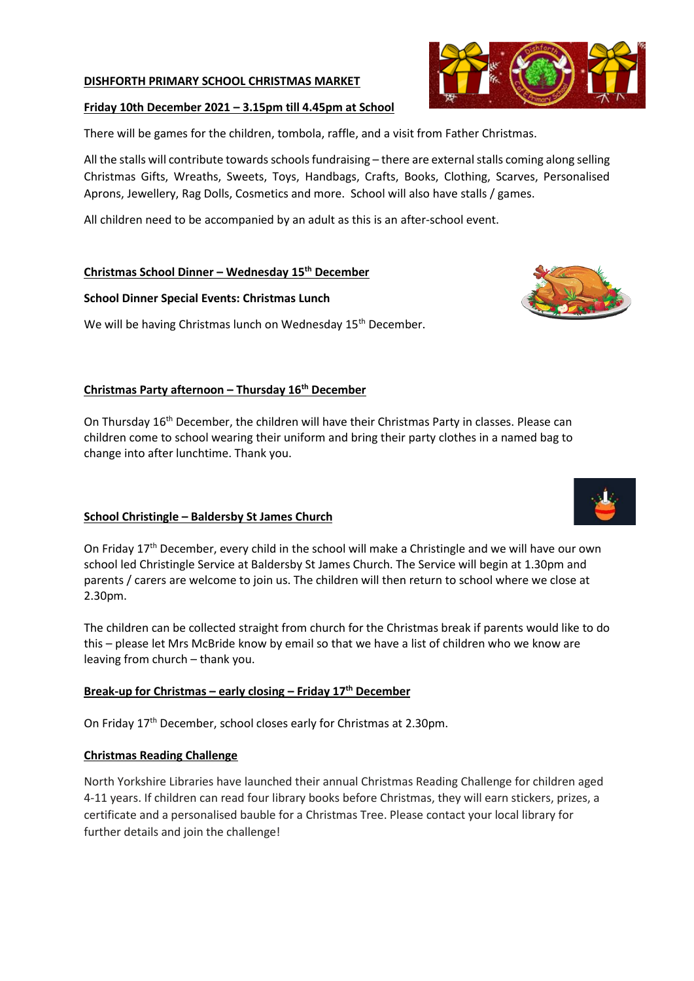#### **DISHFORTH PRIMARY SCHOOL CHRISTMAS MARKET**

#### **Friday 10th December 2021 – 3.15pm till 4.45pm at School**

There will be games for the children, tombola, raffle, and a visit from Father Christmas.

All the stalls will contribute towards schools fundraising – there are external stalls coming along selling Christmas Gifts, Wreaths, Sweets, Toys, Handbags, Crafts, Books, Clothing, Scarves, Personalised Aprons, Jewellery, Rag Dolls, Cosmetics and more. School will also have stalls / games.

All children need to be accompanied by an adult as this is an after-school event.

#### **Christmas School Dinner – Wednesday 15th December**

#### **School Dinner Special Events: Christmas Lunch**

We will be having Christmas lunch on Wednesday 15<sup>th</sup> December.

#### **Christmas Party afternoon – Thursday 16th December**

On Thursday 16<sup>th</sup> December, the children will have their Christmas Party in classes. Please can children come to school wearing their uniform and bring their party clothes in a named bag to change into after lunchtime. Thank you.

# **School Christingle – Baldersby St James Church**

On Friday 17th December, every child in the school will make a Christingle and we will have our own school led Christingle Service at Baldersby St James Church. The Service will begin at 1.30pm and parents / carers are welcome to join us. The children will then return to school where we close at 2.30pm.

The children can be collected straight from church for the Christmas break if parents would like to do this – please let Mrs McBride know by email so that we have a list of children who we know are leaving from church – thank you.

#### **Break-up for Christmas – early closing – Friday 17th December**

On Friday 17th December, school closes early for Christmas at 2.30pm.

#### **Christmas Reading Challenge**

North Yorkshire Libraries have launched their annual Christmas Reading Challenge for children aged 4-11 years. If children can read four library books before Christmas, they will earn stickers, prizes, a certificate and a personalised bauble for a Christmas Tree. Please contact your local library for further details and join the challenge!





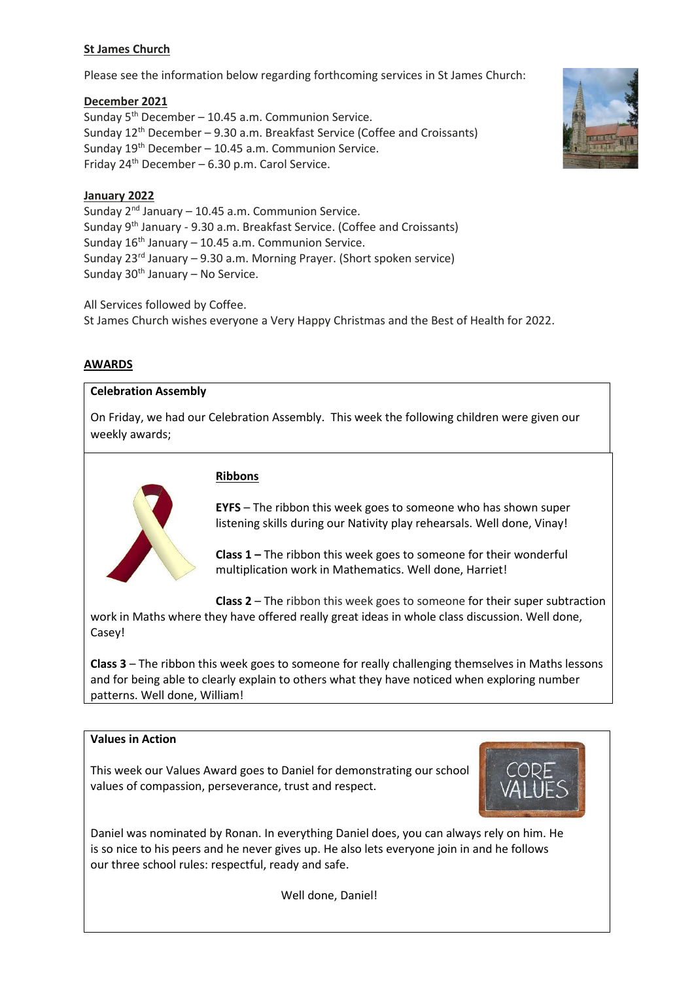# **St James Church**

Please see the information below regarding forthcoming services in St James Church:

#### **December 2021**

Sunday  $5<sup>th</sup>$  December – 10.45 a.m. Communion Service. Sunday 12<sup>th</sup> December – 9.30 a.m. Breakfast Service (Coffee and Croissants) Sunday  $19<sup>th</sup>$  December – 10.45 a.m. Communion Service. Friday  $24^{th}$  December – 6.30 p.m. Carol Service.



#### **January 2022**

Sunday  $2^{nd}$  January – 10.45 a.m. Communion Service. Sunday 9th January - 9.30 a.m. Breakfast Service. (Coffee and Croissants) Sunday  $16^{th}$  January – 10.45 a.m. Communion Service. Sunday  $23^{rd}$  January – 9.30 a.m. Morning Prayer. (Short spoken service) Sunday  $30<sup>th</sup>$  January – No Service.

All Services followed by Coffee.

St James Church wishes everyone a Very Happy Christmas and the Best of Health for 2022.

#### **AWARDS**

# **Celebration Assembly**

On Friday, we had our Celebration Assembly. This week the following children were given our weekly awards;



#### **Ribbons**

**EYFS** – The ribbon this week goes to someone who has shown super listening skills during our Nativity play rehearsals. Well done, Vinay!

**Class 1 –** The ribbon this week goes to someone for their wonderful multiplication work in Mathematics. Well done, Harriet!

**Class 2** – The ribbon this week goes to someone for their super subtraction

work in Maths where they have offered really great ideas in whole class discussion. Well done, Casey!

**Class 3** – The ribbon this week goes to someone for really challenging themselves in Maths lessons and for being able to clearly explain to others what they have noticed when exploring number patterns. Well done, William!

# **Values in Action**

This week our Values Award goes to Daniel for demonstrating our school values of compassion, perseverance, trust and respect.



Daniel was nominated by Ronan. In everything Daniel does, you can always rely on him. He is so nice to his peers and he never gives up. He also lets everyone join in and he follows our three school rules: respectful, ready and safe.

Well done, Daniel!